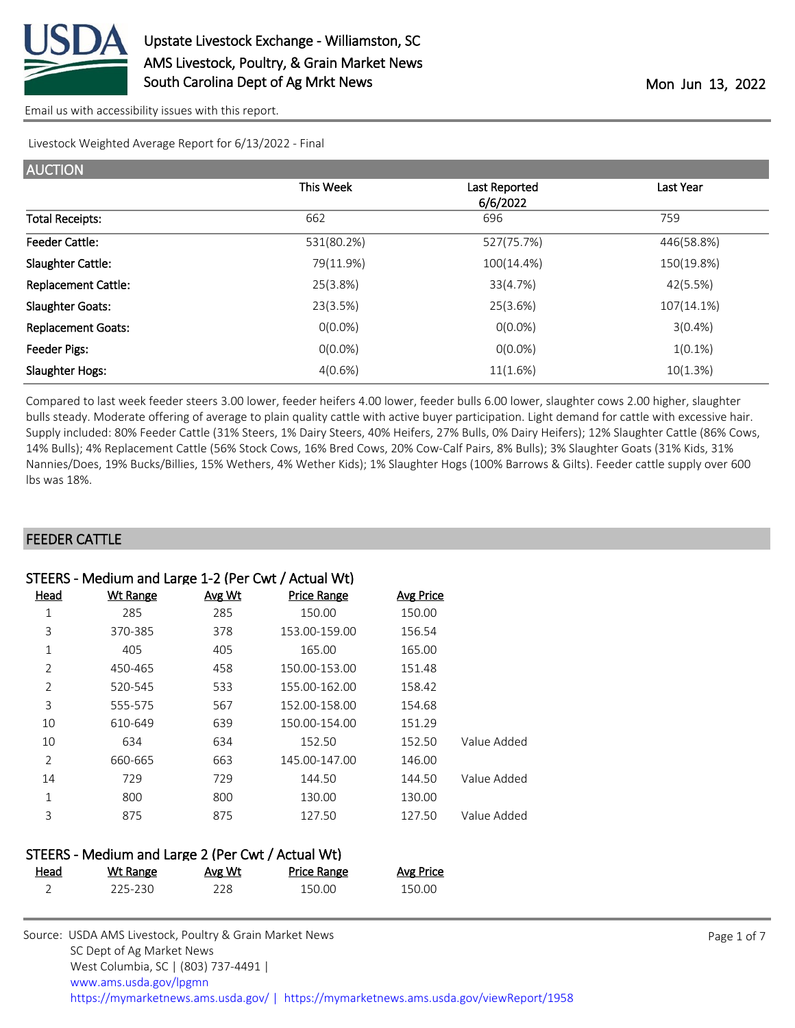

[Email us with accessibility issues with this report.](mailto:mars@ams.usda.gov?subject=508%20issue)

Livestock Weighted Average Report for 6/13/2022 - Final

| <b>AUCTION</b>             |            |               |            |
|----------------------------|------------|---------------|------------|
|                            | This Week  | Last Reported | Last Year  |
|                            |            | 6/6/2022      |            |
| <b>Total Receipts:</b>     | 662        | 696           | 759        |
| <b>Feeder Cattle:</b>      | 531(80.2%) | 527(75.7%)    | 446(58.8%) |
| Slaughter Cattle:          | 79(11.9%)  | 100(14.4%)    | 150(19.8%) |
| <b>Replacement Cattle:</b> | 25(3.8%)   | 33(4.7%)      | 42(5.5%)   |
| <b>Slaughter Goats:</b>    | 23(3.5%)   | 25(3.6%)      | 107(14.1%) |
| <b>Replacement Goats:</b>  | $O(0.0\%)$ | $O(0.0\%)$    | $3(0.4\%)$ |
| Feeder Pigs:               | $O(0.0\%)$ | $O(0.0\%)$    | $1(0.1\%)$ |
| Slaughter Hogs:            | 4(0.6%)    | 11(1.6%)      | 10(1.3%)   |

Compared to last week feeder steers 3.00 lower, feeder heifers 4.00 lower, feeder bulls 6.00 lower, slaughter cows 2.00 higher, slaughter bulls steady. Moderate offering of average to plain quality cattle with active buyer participation. Light demand for cattle with excessive hair. Supply included: 80% Feeder Cattle (31% Steers, 1% Dairy Steers, 40% Heifers, 27% Bulls, 0% Dairy Heifers); 12% Slaughter Cattle (86% Cows, 14% Bulls); 4% Replacement Cattle (56% Stock Cows, 16% Bred Cows, 20% Cow-Calf Pairs, 8% Bulls); 3% Slaughter Goats (31% Kids, 31% Nannies/Does, 19% Bucks/Billies, 15% Wethers, 4% Wether Kids); 1% Slaughter Hogs (100% Barrows & Gilts). Feeder cattle supply over 600 lbs was 18%.

### FEEDER CATTLE

| STEERS - Medium and Large 1-2 (Per Cwt / Actual Wt) |                 |        |                    |                  |             |
|-----------------------------------------------------|-----------------|--------|--------------------|------------------|-------------|
| Head                                                | <b>Wt Range</b> | Avg Wt | <b>Price Range</b> | <b>Avg Price</b> |             |
| 1                                                   | 285             | 285    | 150.00             | 150.00           |             |
| 3                                                   | 370-385         | 378    | 153.00-159.00      | 156.54           |             |
| 1                                                   | 405             | 405    | 165.00             | 165.00           |             |
| $\overline{2}$                                      | 450-465         | 458    | 150.00-153.00      | 151.48           |             |
| $\overline{2}$                                      | 520-545         | 533    | 155.00-162.00      | 158.42           |             |
| 3                                                   | 555-575         | 567    | 152.00-158.00      | 154.68           |             |
| 10                                                  | 610-649         | 639    | 150.00-154.00      | 151.29           |             |
| 10                                                  | 634             | 634    | 152.50             | 152.50           | Value Added |
| $\overline{2}$                                      | 660-665         | 663    | 145.00-147.00      | 146.00           |             |
| 14                                                  | 729             | 729    | 144.50             | 144.50           | Value Added |
| 1                                                   | 800             | 800    | 130.00             | 130.00           |             |
| 3                                                   | 875             | 875    | 127.50             | 127.50           | Value Added |
|                                                     |                 |        |                    |                  |             |

| STEERS - Medium and Large 2 (Per Cwt / Actual Wt) |          |        |                    |           |  |
|---------------------------------------------------|----------|--------|--------------------|-----------|--|
| <u>Head</u>                                       | Wt Range | Avg Wt | <b>Price Range</b> | Avg Price |  |
|                                                   | 225-230  | 228.   | 150.00             | 150.00    |  |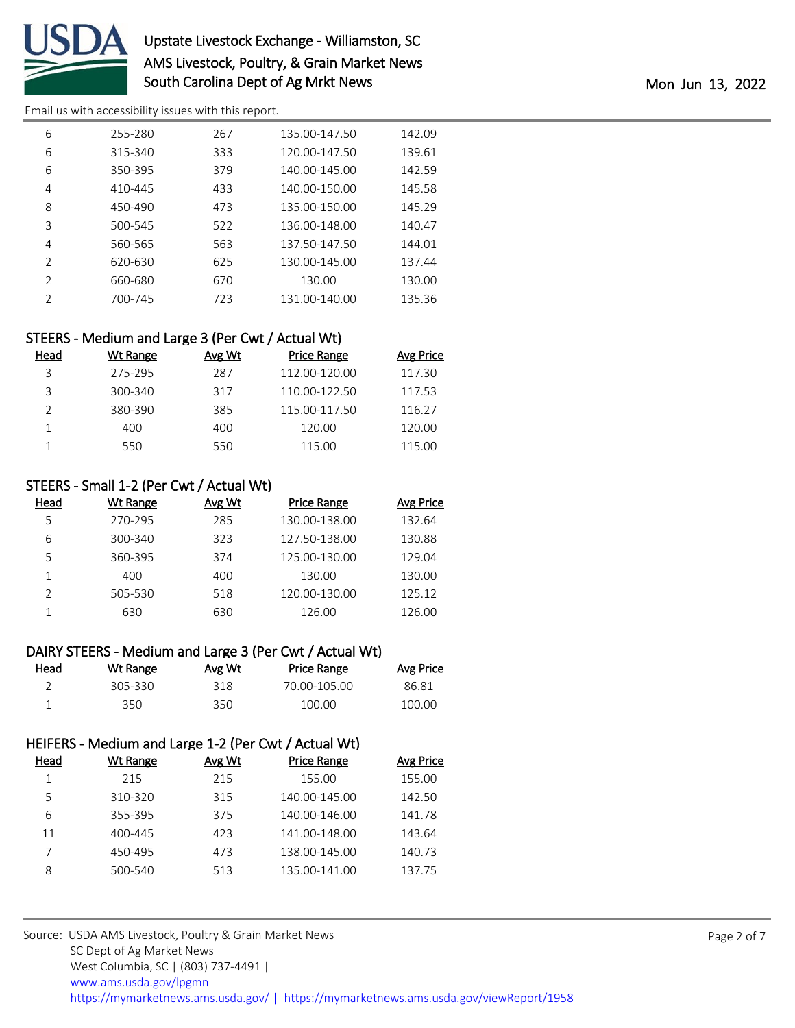

# Upstate Livestock Exchange - Williamston, SC AMS Livestock, Poultry, & Grain Market News South Carolina Dept of Ag Mrkt News **Mon 2022** Mon Jun 13, 2022

[Email us with accessibility issues with this report.](mailto:mars@ams.usda.gov?subject=508%20issue)

| 6             | 255-280 | 267 | 135.00-147.50 | 142.09 |
|---------------|---------|-----|---------------|--------|
| 6             | 315-340 | 333 | 120.00-147.50 | 139.61 |
| 6             | 350-395 | 379 | 140.00-145.00 | 142.59 |
| 4             | 410-445 | 433 | 140.00-150.00 | 145.58 |
| 8             | 450-490 | 473 | 135.00-150.00 | 145.29 |
| 3             | 500-545 | 522 | 136.00-148.00 | 140.47 |
| 4             | 560-565 | 563 | 137.50-147.50 | 144.01 |
| $\mathcal{P}$ | 620-630 | 625 | 130.00-145.00 | 137.44 |
| $\mathcal{P}$ | 660-680 | 670 | 130.00        | 130.00 |
| $\mathcal{P}$ | 700-745 | 723 | 131.00-140.00 | 135.36 |

### STEERS - Medium and Large 3 (Per Cwt / Actual Wt)

| Head | Wt Range | Avg Wt | Price Range   | <b>Avg Price</b> |
|------|----------|--------|---------------|------------------|
| २    | 275-295  | 287    | 112.00-120.00 | 117.30           |
| ₹    | 300-340  | 317    | 110.00-122.50 | 117.53           |
|      | 380-390  | 385    | 115.00-117.50 | 116.27           |
|      | 400      | 400    | 120.00        | 120.00           |
|      | 550      | 550    | 115.00        | 115.00           |

### STEERS - Small 1-2 (Per Cwt / Actual Wt)

| Head | Wt Range | Avg Wt | Price Range   | <b>Avg Price</b> |
|------|----------|--------|---------------|------------------|
| 5    | 270-295  | 285    | 130.00-138.00 | 132.64           |
| 6    | 300-340  | 323    | 127.50-138.00 | 130.88           |
| 5    | 360-395  | 374    | 125.00-130.00 | 129.04           |
|      | 400      | 400    | 130.00        | 130.00           |
|      | 505-530  | 518    | 120.00-130.00 | 125.12           |
|      | 630      | 630    | 126.00        | 126.00           |

#### DAIRY STEERS - Medium and Large 3 (Per Cwt / Actual Wt)

| Head | Wt Range | Avg Wt | Price Range  | <u>Avg Price</u> |
|------|----------|--------|--------------|------------------|
|      | 305-330  | 318    | 70.00-105.00 | 86.81            |
|      | 350.     | 350.   | 100.00       | 100.00           |

### HEIFERS - Medium and Large 1-2 (Per Cwt / Actual Wt)

| Head | Wt Range | Avg Wt | <b>Price Range</b> | Avg Price |
|------|----------|--------|--------------------|-----------|
|      | 215      | 215    | 155.00             | 155.00    |
| 5    | 310-320  | 315    | 140.00-145.00      | 142.50    |
| 6    | 355-395  | 375    | 140.00-146.00      | 141.78    |
| 11   | 400-445  | 423    | 141.00-148.00      | 143.64    |
|      | 450-495  | 473    | 138.00-145.00      | 140.73    |
| 8    | 500-540  | 513    | 135.00-141.00      | 137.75    |
|      |          |        |                    |           |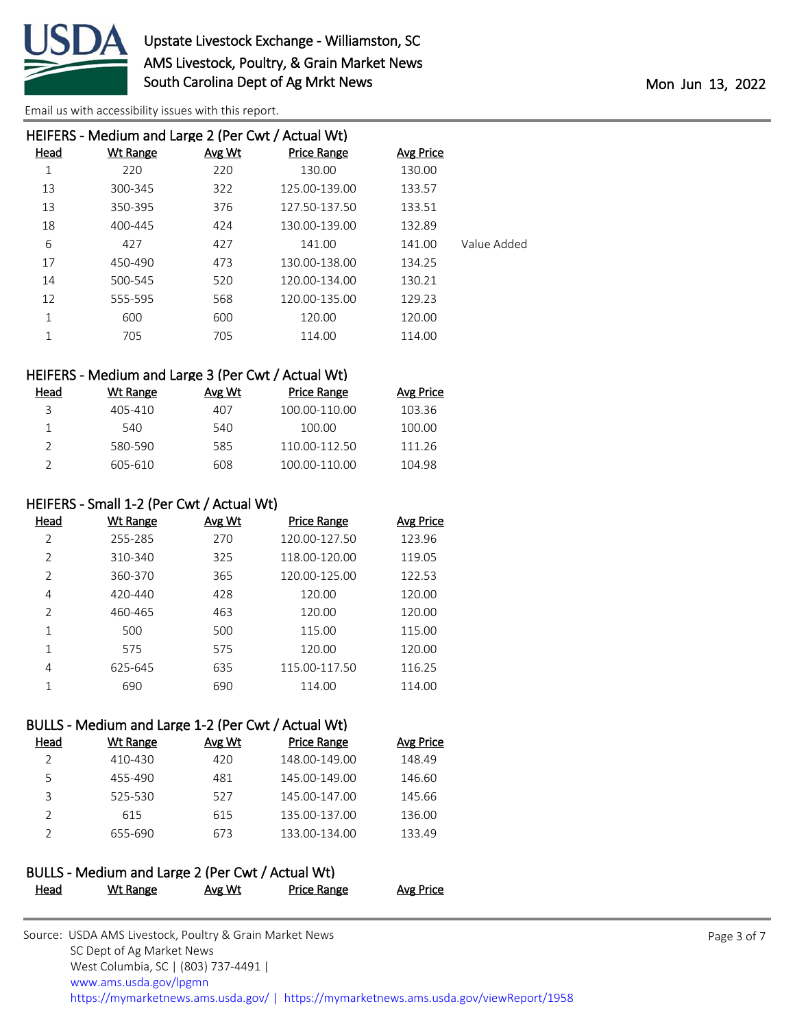

[Email us with accessibility issues with this report.](mailto:mars@ams.usda.gov?subject=508%20issue)

| HEIFERS - Medium and Large 2 (Per Cwt / Actual Wt) |        |                    |           |             |  |
|----------------------------------------------------|--------|--------------------|-----------|-------------|--|
| Wt Range                                           | Avg Wt | <b>Price Range</b> | Avg Price |             |  |
| 220                                                | 220    | 130.00             | 130.00    |             |  |
| 300-345                                            | 322    | 125.00-139.00      | 133.57    |             |  |
| 350-395                                            | 376    | 127.50-137.50      | 133.51    |             |  |
| 400-445                                            | 424    | 130.00-139.00      | 132.89    |             |  |
| 427                                                | 427    | 141.00             | 141.00    | Value Added |  |
| 450-490                                            | 473    | 130.00-138.00      | 134.25    |             |  |
| 500-545                                            | 520    | 120.00-134.00      | 130.21    |             |  |
| 555-595                                            | 568    | 120.00-135.00      | 129.23    |             |  |
| 600                                                | 600    | 120.00             | 120.00    |             |  |
| 705                                                | 705    | 114.00             | 114.00    |             |  |
|                                                    |        |                    |           |             |  |

#### HEIFERS - Medium and Large 3 (Per Cwt / Actual Wt)

| Head | Wt Range | Avg Wt | Price Range   | <b>Avg Price</b> |
|------|----------|--------|---------------|------------------|
| ₹    | 405-410  | 407    | 100.00-110.00 | 103.36           |
|      | 540      | 540    | 100.00        | 100.00           |
|      | 580-590  | 585    | 110.00-112.50 | 111.26           |
|      | 605-610  | 608    | 100.00-110.00 | 104.98           |

#### HEIFERS - Small 1-2 (Per Cwt / Actual Wt)

| Head           | Wt Range    | Avg Wt | <b>Price Range</b> | <b>Avg Price</b> |
|----------------|-------------|--------|--------------------|------------------|
| $\mathcal{L}$  | 255-285     | 270    | 120.00-127.50      | 123.96           |
| $\overline{2}$ | 310-340     | 325    | 118.00-120.00      | 119.05           |
| $\overline{2}$ | 360-370     | 365    | 120.00-125.00      | 122.53           |
| 4              | $420 - 440$ | 428    | 120.00             | 120.00           |
| $\mathcal{P}$  | 460-465     | 463    | 120.00             | 120.00           |
|                | 500         | 500    | 115.00             | 115.00           |
| 1              | 575         | 575    | 120.00             | 120.00           |
| 4              | 625-645     | 635    | 115.00-117.50      | 116.25           |
|                | 690         | 690    | 114.00             | 114.00           |

### BULLS - Medium and Large 1-2 (Per Cwt / Actual Wt)

| Head | Wt Range | Avg Wt | Price Range   | <b>Avg Price</b> |
|------|----------|--------|---------------|------------------|
|      | 410-430  | 420    | 148.00-149.00 | 148.49           |
| 5    | 455-490  | 481    | 145.00-149.00 | 146.60           |
| З    | 525-530  | 527    | 145.00-147.00 | 145.66           |
|      | 615      | 615    | 135.00-137.00 | 136.00           |
|      | 655-690  | 673    | 133.00-134.00 | 133.49           |

## BULLS - Medium and Large 2 (Per Cwt / Actual Wt) Head Wt Range Avg Wt Price Range Avg Price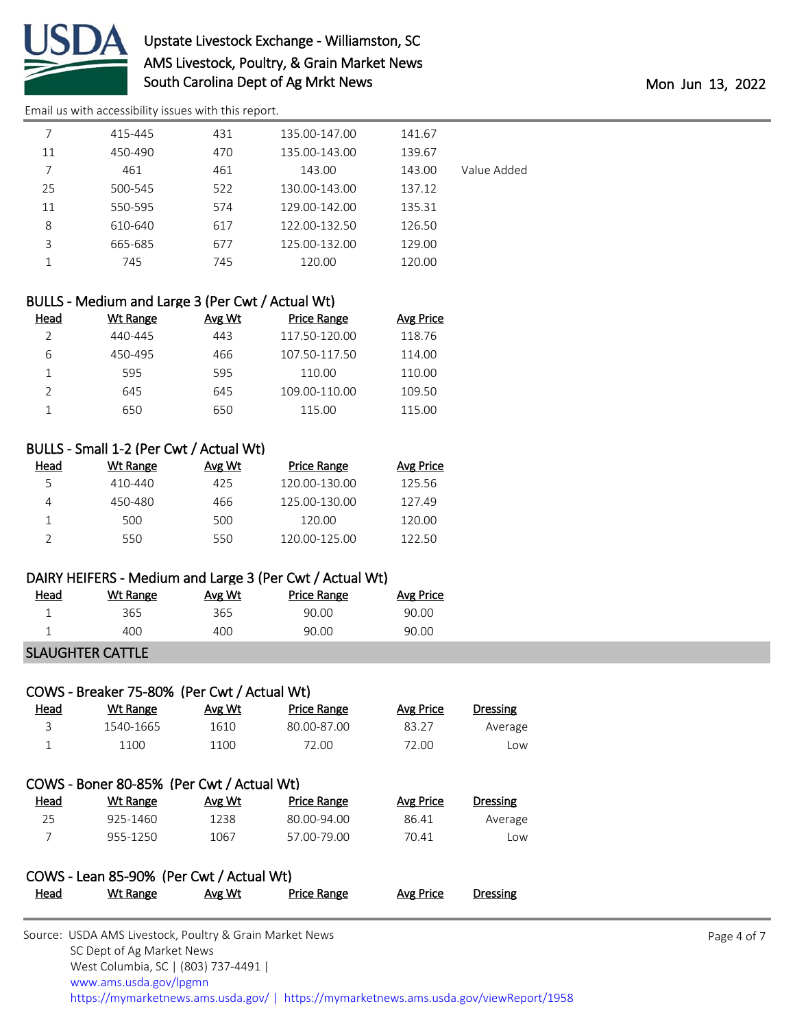

# Upstate Livestock Exchange - Williamston, SC AMS Livestock, Poultry, & Grain Market News South Carolina Dept of Ag Mrkt News and the Month of Mon Jun 13, 2022

[Email us with accessibility issues with this report.](mailto:mars@ams.usda.gov?subject=508%20issue)

|    | 415-445 | 431 | 135.00-147.00 | 141.67 |             |
|----|---------|-----|---------------|--------|-------------|
| 11 | 450-490 | 470 | 135.00-143.00 | 139.67 |             |
| 7  | 461     | 461 | 143.00        | 143.00 | Value Added |
| 25 | 500-545 | 522 | 130.00-143.00 | 137.12 |             |
| 11 | 550-595 | 574 | 129.00-142.00 | 135.31 |             |
| 8  | 610-640 | 617 | 122.00-132.50 | 126.50 |             |
| 3  | 665-685 | 677 | 125.00-132.00 | 129.00 |             |
|    | 745     | 745 | 120.00        | 120.00 |             |
|    |         |     |               |        |             |

## BULLS - Medium and Large 3 (Per Cwt / Actual Wt)

| Head | Wt Range | Avg Wt | Price Range   | Avg Price |
|------|----------|--------|---------------|-----------|
|      | 440-445  | 443    | 117.50-120.00 | 118.76    |
| 6    | 450-495  | 466    | 107.50-117.50 | 114.00    |
|      | 595      | 595    | 110.00        | 110.00    |
|      | 645      | 645    | 109.00-110.00 | 109.50    |
|      | 650      | 650    | 115.00        | 115.00    |

### BULLS - Small 1-2 (Per Cwt / Actual Wt)

| Head | Wt Range | Avg Wt | <b>Price Range</b> | Avg Price |
|------|----------|--------|--------------------|-----------|
| 5    | 410-440  | 425    | 120.00-130.00      | 125.56    |
|      | 450-480  | 466    | 125.00-130.00      | 127.49    |
|      | 500      | 500    | 120.00             | 120.00    |
|      | 550      | 550    | 120.00-125.00      | 122.50    |

### DAIRY HEIFERS - Medium and Large 3 (Per Cwt / Actual Wt)

| <u>Head</u> | Wt Range | Avg Wt | Price Range | Avg Price |
|-------------|----------|--------|-------------|-----------|
|             | 365      | 365    | 90.00       | 90.00     |
|             | 400      | 400    | 90.00       | 90.00     |

### SLAUGHTER CATTLE

|      | COWS - Breaker 75-80% (Per Cwt / Actual Wt) |        |                    |                  |                 |
|------|---------------------------------------------|--------|--------------------|------------------|-----------------|
| Head | Wt Range                                    | Avg Wt | <b>Price Range</b> | <b>Avg Price</b> | Dressing        |
| 3    | 1540-1665                                   | 1610   | 80.00-87.00        | 83.27            | Average         |
| 1    | 1100                                        | 1100   | 72.00              | 72.00            | Low             |
|      |                                             |        |                    |                  |                 |
|      | COWS - Boner 80-85% (Per Cwt / Actual Wt)   |        |                    |                  |                 |
| Head | Wt Range                                    | Avg Wt | <b>Price Range</b> | <b>Avg Price</b> | <b>Dressing</b> |
| 25   | 925-1460                                    | 1238   | 80.00-94.00        | 86.41            | Average         |
| 7    | 955-1250                                    | 1067   | 57.00-79.00        | 70.41            | Low             |
|      |                                             |        |                    |                  |                 |

## COWS - Lean 85-90% (Per Cwt / Actual Wt) Head Wt Range Avg Wt Price Range Avg Price Dressing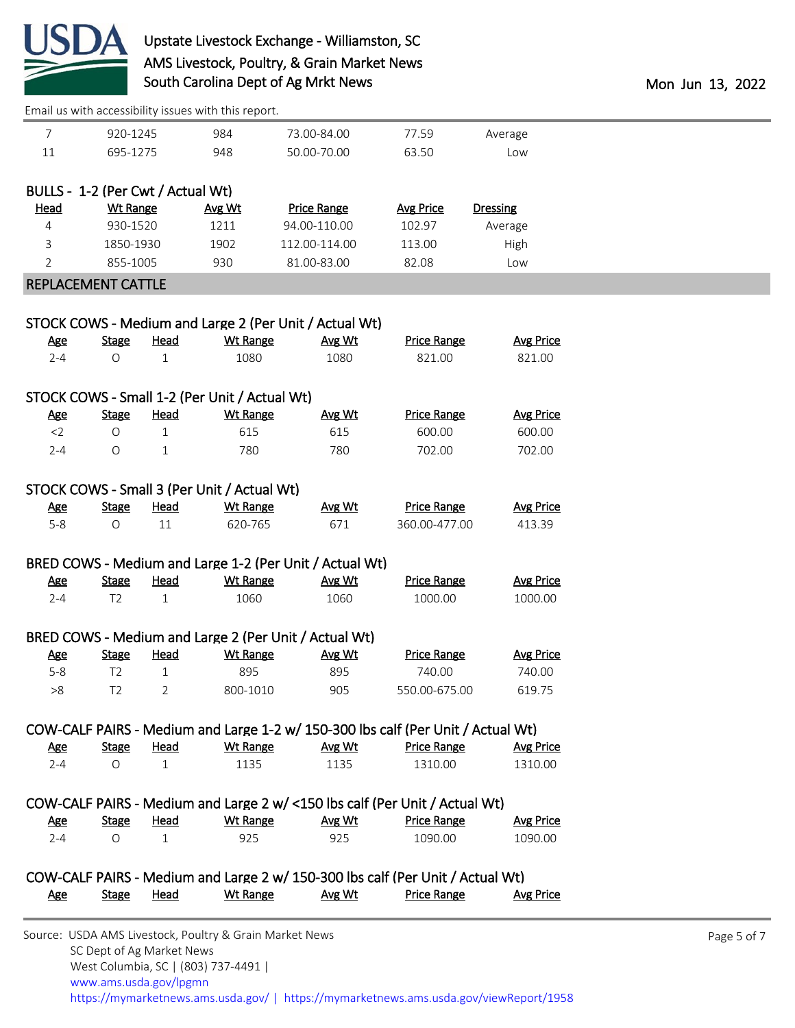

# Upstate Livestock Exchange - Williamston, SC AMS Livestock, Poultry, & Grain Market News South Carolina Dept of Ag Mrkt News and the Month of Mon Jun 13, 2022

[Email us with accessibility issues with this report.](mailto:mars@ams.usda.gov?subject=508%20issue)

| 7                                 | 920-1245                |                      | 984                                           | 73.00-84.00                                                                      | 77.59                         | Average                     |
|-----------------------------------|-------------------------|----------------------|-----------------------------------------------|----------------------------------------------------------------------------------|-------------------------------|-----------------------------|
| $11\,$                            | 695-1275                |                      | 948                                           | 50.00-70.00                                                                      | 63.50                         | Low                         |
|                                   |                         |                      |                                               |                                                                                  |                               |                             |
| BULLS - 1-2 (Per Cwt / Actual Wt) |                         |                      |                                               |                                                                                  |                               |                             |
| <b>Head</b>                       | <b>Wt Range</b>         |                      | Avg Wt                                        | <b>Price Range</b>                                                               | <b>Avg Price</b>              | Dressing                    |
| 4                                 | 930-1520                |                      | 1211                                          | 94.00-110.00                                                                     | 102.97                        | Average                     |
| 3                                 | 1850-1930               |                      | 1902                                          | 112.00-114.00                                                                    | 113.00                        | High                        |
| $\overline{2}$                    | 855-1005                |                      | 930                                           | 81.00-83.00                                                                      | 82.08                         | Low                         |
| <b>REPLACEMENT CATTLE</b>         |                         |                      |                                               |                                                                                  |                               |                             |
|                                   |                         |                      |                                               |                                                                                  |                               |                             |
|                                   |                         |                      |                                               | STOCK COWS - Medium and Large 2 (Per Unit / Actual Wt)                           |                               |                             |
| <b>Age</b>                        | <b>Stage</b>            | <b>Head</b>          | <b>Wt Range</b>                               | Avg Wt                                                                           | <b>Price Range</b>            | <b>Avg Price</b>            |
| $2 - 4$                           | O                       | $\mathbf{1}$         | 1080                                          | 1080                                                                             | 821.00                        | 821.00                      |
|                                   |                         |                      |                                               |                                                                                  |                               |                             |
|                                   |                         |                      | STOCK COWS - Small 1-2 (Per Unit / Actual Wt) |                                                                                  |                               |                             |
| <b>Age</b>                        | <b>Stage</b>            | <b>Head</b>          | <b>Wt Range</b>                               | Avg Wt                                                                           | <b>Price Range</b>            | <b>Avg Price</b>            |
| $<$ 2                             | $\bigcirc$              | $\mathbf{1}$         | 615                                           | 615                                                                              | 600.00                        | 600.00                      |
| $2 - 4$                           | $\bigcirc$              | $\mathbf{1}$         | 780                                           | 780                                                                              | 702.00                        | 702.00                      |
|                                   |                         |                      |                                               |                                                                                  |                               |                             |
|                                   |                         |                      | STOCK COWS - Small 3 (Per Unit / Actual Wt)   |                                                                                  |                               |                             |
| <u>Age</u>                        | <b>Stage</b>            | <u>Head</u>          | <b>Wt Range</b>                               | Avg Wt                                                                           | <b>Price Range</b>            | <b>Avg Price</b>            |
| $5 - 8$                           | $\bigcirc$              | 11                   | 620-765                                       | 671                                                                              | 360.00-477.00                 | 413.39                      |
|                                   |                         |                      |                                               |                                                                                  |                               |                             |
|                                   |                         |                      |                                               | BRED COWS - Medium and Large 1-2 (Per Unit / Actual Wt)                          |                               |                             |
| <b>Age</b>                        | <b>Stage</b>            | <b>Head</b>          | <b>Wt Range</b>                               | Avg Wt                                                                           | <b>Price Range</b>            | <b>Avg Price</b>            |
| $2 - 4$                           | T <sub>2</sub>          | $\mathbf{1}$         | 1060                                          | 1060                                                                             | 1000.00                       | 1000.00                     |
|                                   |                         |                      |                                               |                                                                                  |                               |                             |
|                                   |                         |                      |                                               | BRED COWS - Medium and Large 2 (Per Unit / Actual Wt)                            |                               |                             |
| <b>Age</b>                        | <b>Stage</b>            | <b>Head</b>          | <b>Wt Range</b>                               | Avg Wt                                                                           | <b>Price Range</b>            | <b>Avg Price</b>            |
| $5 - 8$                           | T <sub>2</sub>          | $\mathbf{1}$         | 895                                           | 895                                                                              | 740.00                        | 740.00                      |
| >8                                | T <sub>2</sub>          | 2                    | 800-1010                                      | 905                                                                              | 550.00-675.00                 | 619.75                      |
|                                   |                         |                      |                                               |                                                                                  |                               |                             |
|                                   |                         |                      |                                               | COW-CALF PAIRS - Medium and Large 1-2 w/ 150-300 lbs calf (Per Unit / Actual Wt) |                               |                             |
|                                   | <b>Stage</b>            | <b>Head</b>          | <b>Wt Range</b>                               | Avg Wt                                                                           | <b>Price Range</b>            | <b>Avg Price</b>            |
|                                   |                         |                      | 1135                                          | 1135                                                                             | 1310.00                       | 1310.00                     |
| <b>Age</b><br>$2 - 4$             | $\circ$                 | $\mathbf{1}$         |                                               |                                                                                  |                               |                             |
|                                   |                         |                      |                                               |                                                                                  |                               |                             |
|                                   |                         |                      |                                               |                                                                                  |                               |                             |
|                                   |                         |                      |                                               | COW-CALF PAIRS - Medium and Large 2 w/ <150 lbs calf (Per Unit / Actual Wt)      |                               |                             |
| <b>Age</b><br>$2 - 4$             | <b>Stage</b><br>$\circ$ | Head<br>$\mathbf{1}$ | <b>Wt Range</b><br>925                        | Avg Wt<br>925                                                                    | <b>Price Range</b><br>1090.00 | <b>Avg Price</b><br>1090.00 |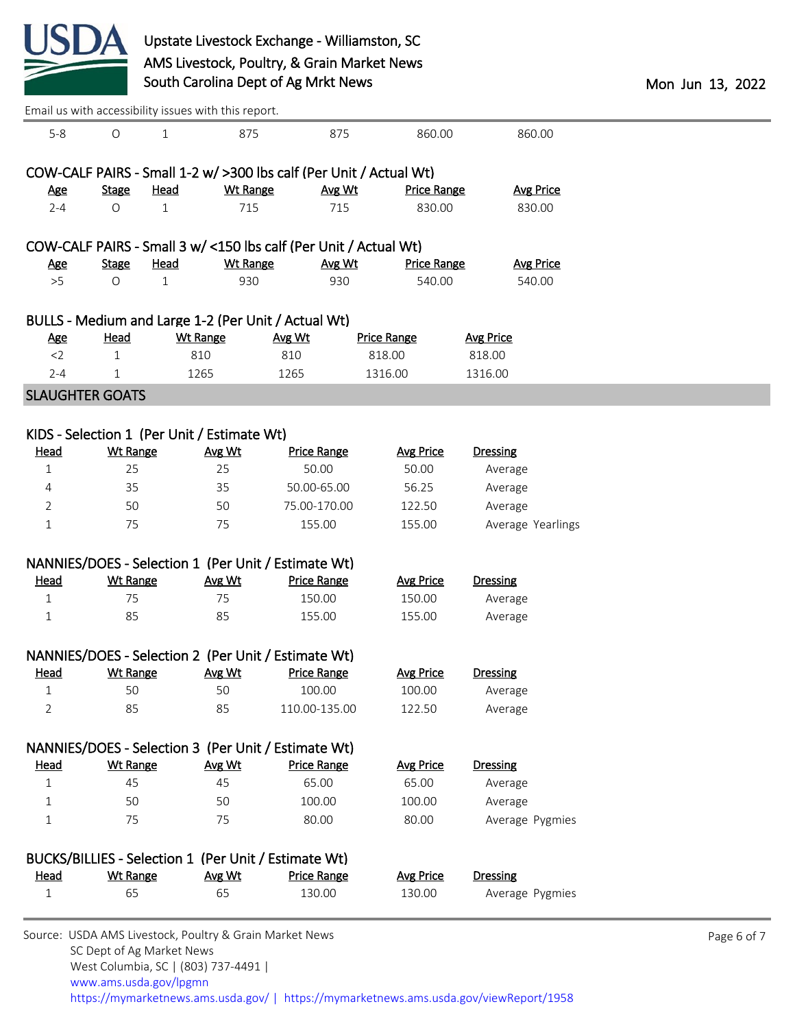

| Email us with accessibility issues with this report. |                 |                 |                                                                  |                    |                                                                     |                   |  |
|------------------------------------------------------|-----------------|-----------------|------------------------------------------------------------------|--------------------|---------------------------------------------------------------------|-------------------|--|
| $5 - 8$                                              | $\circ$         | $\mathbf{1}$    | 875                                                              | 875                | 860.00                                                              | 860.00            |  |
|                                                      |                 |                 |                                                                  |                    | COW-CALF PAIRS - Small 1-2 w/ > 300 lbs calf (Per Unit / Actual Wt) |                   |  |
| <u>Age</u>                                           | <b>Stage</b>    | Head            | <b>Wt Range</b>                                                  | Avg Wt             | <b>Price Range</b>                                                  | <b>Avg Price</b>  |  |
| $2 - 4$                                              | O               | $\mathbf 1$     | 715                                                              | 715                | 830.00                                                              | 830.00            |  |
|                                                      |                 |                 | COW-CALF PAIRS - Small 3 w/ <150 lbs calf (Per Unit / Actual Wt) |                    |                                                                     |                   |  |
| <u>Age</u>                                           | <b>Stage</b>    | Head            | <b>Wt Range</b>                                                  | Avg Wt             | <b>Price Range</b>                                                  | <b>Avg Price</b>  |  |
| >5                                                   | O               | $\mathbf{1}$    | 930                                                              | 930                | 540.00                                                              | 540.00            |  |
|                                                      |                 |                 | BULLS - Medium and Large 1-2 (Per Unit / Actual Wt)              |                    |                                                                     |                   |  |
| <u>Age</u>                                           | <b>Head</b>     | <b>Wt Range</b> |                                                                  | Avg Wt             | <b>Price Range</b>                                                  | <b>Avg Price</b>  |  |
| $<$ 2                                                | $\mathbf{1}$    | 810             |                                                                  | 810                | 818.00                                                              | 818.00            |  |
| $2 - 4$                                              | $\mathbf 1$     | 1265            |                                                                  | 1265               | 1316.00                                                             | 1316.00           |  |
| <b>SLAUGHTER GOATS</b>                               |                 |                 |                                                                  |                    |                                                                     |                   |  |
|                                                      |                 |                 | KIDS - Selection 1 (Per Unit / Estimate Wt)                      |                    |                                                                     |                   |  |
| <b>Head</b>                                          | <b>Wt Range</b> |                 | Avg Wt                                                           | <b>Price Range</b> | <b>Avg Price</b>                                                    | <b>Dressing</b>   |  |
| $\mathbf 1$                                          | 25              |                 | 25                                                               | 50.00              | 50.00                                                               | Average           |  |
| 4                                                    | 35              |                 | 35                                                               | 50.00-65.00        | 56.25                                                               | Average           |  |
| 2                                                    | 50              |                 | 50                                                               | 75.00-170.00       | 122.50                                                              | Average           |  |
| $1\,$                                                | 75              |                 | 75                                                               | 155.00             |                                                                     | Average Yearlings |  |
|                                                      |                 |                 |                                                                  |                    | 155.00                                                              |                   |  |
|                                                      |                 |                 | NANNIES/DOES - Selection 1 (Per Unit / Estimate Wt)              |                    |                                                                     |                   |  |
| <b>Head</b>                                          | <b>Wt Range</b> |                 | Avg Wt                                                           | <b>Price Range</b> | <b>Avg Price</b>                                                    | <b>Dressing</b>   |  |
| $\mathbf{1}$                                         | 75              |                 | 75                                                               | 150.00             | 150.00                                                              | Average           |  |
| $\mathbf 1$                                          | 85              |                 | 85                                                               | 155.00             | 155.00                                                              | Average           |  |
|                                                      |                 |                 | NANNIES/DOES - Selection 2 (Per Unit / Estimate Wt)              |                    |                                                                     |                   |  |
| <b>Head</b>                                          | <b>Wt Range</b> |                 | Avg Wt                                                           | <b>Price Range</b> | <b>Avg Price</b>                                                    | <b>Dressing</b>   |  |
| 1                                                    | 50              |                 | 50                                                               | 100.00             | 100.00                                                              | Average           |  |
| 2                                                    | 85              |                 | 85                                                               | 110.00-135.00      | 122.50                                                              | Average           |  |
|                                                      |                 |                 | NANNIES/DOES - Selection 3 (Per Unit / Estimate Wt)              |                    |                                                                     |                   |  |
| <b>Head</b>                                          | <b>Wt Range</b> |                 | Avg Wt                                                           | <b>Price Range</b> | <b>Avg Price</b>                                                    | <b>Dressing</b>   |  |
| 1                                                    | 45              |                 | 45                                                               | 65.00              | 65.00                                                               | Average           |  |
| 1                                                    | 50              |                 | 50                                                               | 100.00             | 100.00                                                              | Average           |  |
| $\mathbf 1$                                          | 75              |                 | 75                                                               | 80.00              | 80.00                                                               | Average Pygmies   |  |
|                                                      |                 |                 |                                                                  |                    |                                                                     |                   |  |
|                                                      |                 |                 | BUCKS/BILLIES - Selection 1 (Per Unit / Estimate Wt)             |                    |                                                                     |                   |  |
| <b>Head</b>                                          | <b>Wt Range</b> |                 | Avg Wt                                                           | <b>Price Range</b> | <b>Avg Price</b>                                                    | <b>Dressing</b>   |  |
| $\mathbf 1$                                          | 65              |                 | 65                                                               | 130.00             | 130.00                                                              | Average Pygmies   |  |
|                                                      |                 |                 |                                                                  |                    |                                                                     |                   |  |